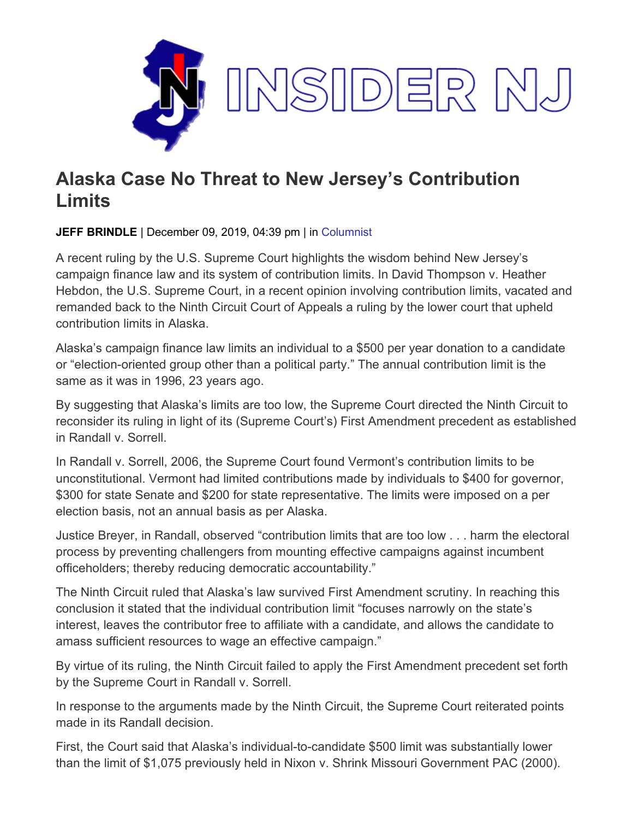

## **Alaska Case No Threat to New Jersey's Contribution Limits**

**JEFF BRINDLE** | December 09, 2019, 04:39 pm | in [Columnist](https://www.insidernj.com/category/columnist/)

A recent ruling by the U.S. Supreme Court highlights the wisdom behind New Jersey's campaign finance law and its system of contribution limits. In David Thompson v. Heather Hebdon, the U.S. Supreme Court, in a recent opinion involving contribution limits, vacated and remanded back to the Ninth Circuit Court of Appeals a ruling by the lower court that upheld contribution limits in Alaska.

Alaska's campaign finance law limits an individual to a \$500 per year donation to a candidate or "election-oriented group other than a political party." The annual contribution limit is the same as it was in 1996, 23 years ago.

By suggesting that Alaska's limits are too low, the Supreme Court directed the Ninth Circuit to reconsider its ruling in light of its (Supreme Court's) First Amendment precedent as established in Randall v. Sorrell.

In Randall v. Sorrell, 2006, the Supreme Court found Vermont's contribution limits to be unconstitutional. Vermont had limited contributions made by individuals to \$400 for governor, \$300 for state Senate and \$200 for state representative. The limits were imposed on a per election basis, not an annual basis as per Alaska.

Justice Breyer, in Randall, observed "contribution limits that are too low . . . harm the electoral process by preventing challengers from mounting effective campaigns against incumbent officeholders; thereby reducing democratic accountability."

The Ninth Circuit ruled that Alaska's law survived First Amendment scrutiny. In reaching this conclusion it stated that the individual contribution limit "focuses narrowly on the state's interest, leaves the contributor free to affiliate with a candidate, and allows the candidate to amass sufficient resources to wage an effective campaign."

By virtue of its ruling, the Ninth Circuit failed to apply the First Amendment precedent set forth by the Supreme Court in Randall v. Sorrell.

In response to the arguments made by the Ninth Circuit, the Supreme Court reiterated points made in its Randall decision.

First, the Court said that Alaska's individual-to-candidate \$500 limit was substantially lower than the limit of \$1,075 previously held in Nixon v. Shrink Missouri Government PAC (2000).